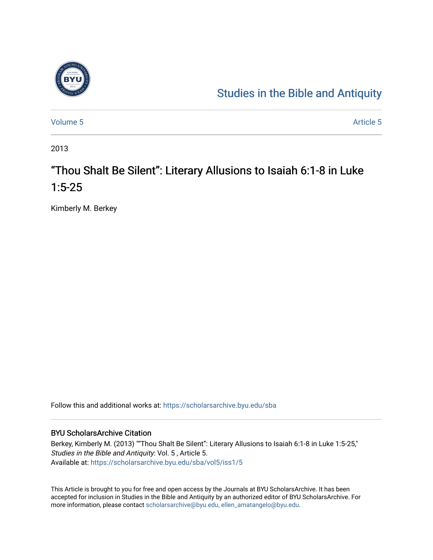

# [Studies in the Bible and Antiquity](https://scholarsarchive.byu.edu/sba)

[Volume 5](https://scholarsarchive.byu.edu/sba/vol5) Article 5

2013

# "Thou Shalt Be Silent": Literary Allusions to Isaiah 6:1-8 in Luke 1:5-25

Kimberly M. Berkey

Follow this and additional works at: [https://scholarsarchive.byu.edu/sba](https://scholarsarchive.byu.edu/sba?utm_source=scholarsarchive.byu.edu%2Fsba%2Fvol5%2Fiss1%2F5&utm_medium=PDF&utm_campaign=PDFCoverPages)

### BYU ScholarsArchive Citation

Berkey, Kimberly M. (2013) ""Thou Shalt Be Silent": Literary Allusions to Isaiah 6:1-8 in Luke 1:5-25," Studies in the Bible and Antiquity: Vol. 5 , Article 5. Available at: [https://scholarsarchive.byu.edu/sba/vol5/iss1/5](https://scholarsarchive.byu.edu/sba/vol5/iss1/5?utm_source=scholarsarchive.byu.edu%2Fsba%2Fvol5%2Fiss1%2F5&utm_medium=PDF&utm_campaign=PDFCoverPages)

This Article is brought to you for free and open access by the Journals at BYU ScholarsArchive. It has been accepted for inclusion in Studies in the Bible and Antiquity by an authorized editor of BYU ScholarsArchive. For more information, please contact [scholarsarchive@byu.edu, ellen\\_amatangelo@byu.edu.](mailto:scholarsarchive@byu.edu,%20ellen_amatangelo@byu.edu)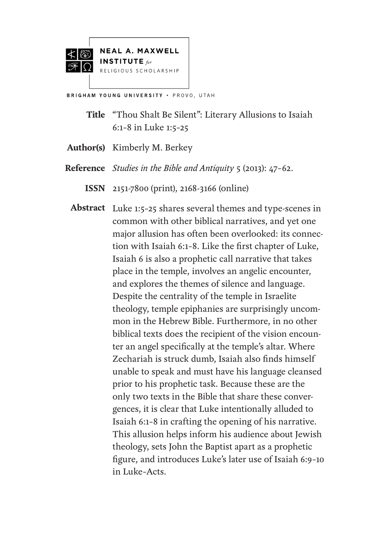



**BRIGHAM YOUNG UNIVERSITY . PROVO, UTAH** 

- **Title** "Thou Shalt Be Silent": Literary Allusions to Isaiah 6:1–8 in Luke 1:5–25
- Author(s) Kimberly M. Berkey
- *Studies in the Bible and Antiquity* 5 (2013): 47–62. **Reference**
	- 2151-7800 (print), 2168-3166 (online) **ISSN**
	- Abstract Luke 1:5-25 shares several themes and type-scenes in common with other biblical narratives, and yet one major allusion has often been overlooked: its connection with Isaiah 6:1–8. Like the first chapter of Luke, Isaiah 6 is also a prophetic call narrative that takes place in the temple, involves an angelic encounter, and explores the themes of silence and language. Despite the centrality of the temple in Israelite theology, temple epiphanies are surprisingly uncommon in the Hebrew Bible. Furthermore, in no other biblical texts does the recipient of the vision encounter an angel specifically at the temple's altar. Where Zechariah is struck dumb, Isaiah also finds himself unable to speak and must have his language cleansed prior to his prophetic task. Because these are the only two texts in the Bible that share these convergences, it is clear that Luke intentionally alluded to Isaiah 6:1–8 in crafting the opening of his narrative. This allusion helps inform his audience about Jewish theology, sets John the Baptist apart as a prophetic figure, and introduces Luke's later use of Isaiah 6:9–10 in Luke–Acts.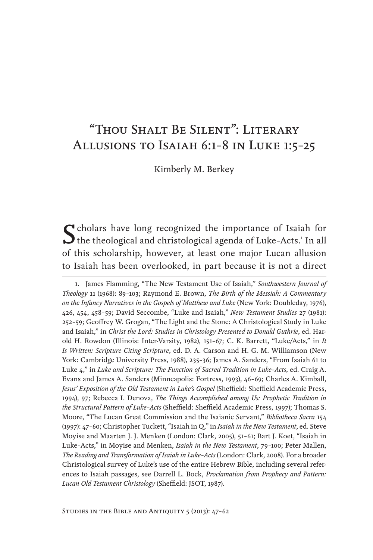# "Thou Shalt Be Silent": Literary Allusions to Isaiah 6:1–8 in Luke 1:5–25

Kimberly M. Berkey

Scholars have long recognized the importance of Isaiah for the theological and christological agenda of Luke-Acts.<sup>1</sup> In all of this scholarship, however, at least one major Lucan allusion to Isaiah has been overlooked, in part because it is not a direct

<sup>1.</sup> James Flamming, "The New Testament Use of Isaiah," *Southwestern Journal of Theology* 11 (1968): 89–103; Raymond E. Brown, *The Birth of the Messiah: A Commentary on the Infancy Narratives in the Gospels of Matthew and Luke* (New York: Doubleday, 1976), 426, 454, 458–59; David Seccombe, "Luke and Isaiah," *New Testament Studies* 27 (1981): 252–59; Geoffrey W. Grogan, "The Light and the Stone: A Christological Study in Luke and Isaiah," in *Christ the Lord: Studies in Christology Presented to Donald Guthrie*, ed. Harold H. Rowdon (Illinois: Inter-Varsity, 1982), 151–67; C. K. Barrett, "Luke/Acts," in *It Is Written: Scripture Citing Scripture*, ed. D. A. Carson and H. G. M. Williamson (New York: Cambridge University Press, 1988), 235–36; James A. Sanders, "From Isaiah 61 to Luke 4," in *Luke and Scripture: The Function of Sacred Tradition in Luke–Acts*, ed. Craig A. Evans and James A. Sanders (Minneapolis: Fortress, 1993), 46–69; Charles A. Kimball, *Jesus' Exposition of the Old Testament in Luke's Gospel* (Sheffield: Sheffield Academic Press, 1994), 97; Rebecca I. Denova, *The Things Accomplished among Us: Prophetic Tradition in the Structural Pattern of Luke–Acts* (Sheffield: Sheffield Academic Press, 1997); Thomas S. Moore, "The Lucan Great Commission and the Isaianic Servant," *Bibliotheca Sacra* 154 (1997): 47–60; Christopher Tuckett, "Isaiah in Q," in *Isaiah in the New Testament*, ed. Steve Moyise and Maarten J. J. Menken (London: Clark, 2005), 51–61; Bart J. Koet, "Isaiah in Luke–Acts," in Moyise and Menken, *Isaiah in the New Testament*, 79–100; Peter Mallen, *The Reading and Transformation of Isaiah in Luke–Acts* (London: Clark, 2008). For a broader Christological survey of Luke's use of the entire Hebrew Bible, including several references to Isaiah passages, see Darrell L. Bock, *Proclamation from Prophecy and Pattern: Lucan Old Testament Christology* (Sheffield: JSOT, 1987).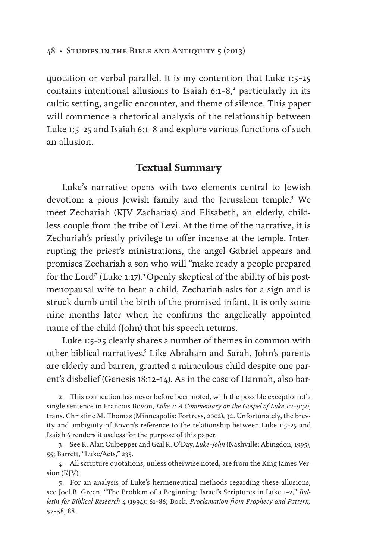quotation or verbal parallel. It is my contention that Luke 1:5–25 contains intentional allusions to Isaiah  $6:1-8$ ,<sup>2</sup> particularly in its cultic setting, angelic encounter, and theme of silence. This paper will commence a rhetorical analysis of the relationship between Luke 1:5–25 and Isaiah 6:1–8 and explore various functions of such an allusion.

### **Textual Summary**

Luke's narrative opens with two elements central to Jewish devotion: a pious Jewish family and the Jerusalem temple.<sup>3</sup> We meet Zechariah (KJV Zacharias) and Elisabeth, an elderly, childless couple from the tribe of Levi. At the time of the narrative, it is Zechariah's priestly privilege to offer incense at the temple. Interrupting the priest's ministrations, the angel Gabriel appears and promises Zechariah a son who will "make ready a people prepared for the Lord" (Luke 1:17).<sup>4</sup> Openly skeptical of the ability of his postmenopausal wife to bear a child, Zechariah asks for a sign and is struck dumb until the birth of the promised infant. It is only some nine months later when he confirms the angelically appointed name of the child (John) that his speech returns.

Luke 1:5–25 clearly shares a number of themes in common with other biblical narratives.<sup>5</sup> Like Abraham and Sarah, John's parents are elderly and barren, granted a miraculous child despite one parent's disbelief (Genesis 18:12–14). As in the case of Hannah, also bar-

<sup>2.</sup> This connection has never before been noted, with the possible exception of a single sentence in François Bovon, *Luke 1: A Commentary on the Gospel of Luke 1:1–9:50*, trans. Christine M. Thomas (Minneapolis: Fortress, 2002), 32. Unfortunately, the brevity and ambiguity of Bovon's reference to the relationship between Luke 1:5–25 and Isaiah 6 renders it useless for the purpose of this paper.

<sup>3.</sup> See R. Alan Culpepper and Gail R. O'Day, *Luke–John* (Nashville: Abingdon, 1995), 55; Barrett, "Luke/Acts," 235.

<sup>4.</sup> All scripture quotations, unless otherwise noted, are from the King James Version (KJV).

<sup>5.</sup> For an analysis of Luke's hermeneutical methods regarding these allusions, see Joel B. Green, "The Problem of a Beginning: Israel's Scriptures in Luke 1–2," *Bulletin for Biblical Research* 4 (1994): 61–86; Bock, *Proclamation from Prophecy and Pattern,* 57–58, 88.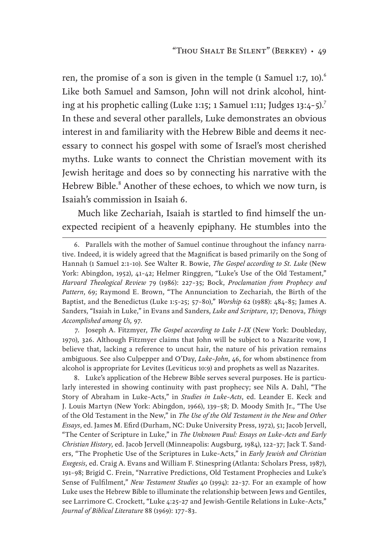ren, the promise of a son is given in the temple  $(1 \text{ Samuel 1:}7, 10)^6$ Like both Samuel and Samson, John will not drink alcohol, hinting at his prophetic calling (Luke 1:15; 1 Samuel 1:11; Judges 13:4–5).7 In these and several other parallels, Luke demonstrates an obvious interest in and familiarity with the Hebrew Bible and deems it necessary to connect his gospel with some of Israel's most cherished myths. Luke wants to connect the Christian movement with its Jewish heritage and does so by connecting his narrative with the Hebrew Bible.<sup>8</sup> Another of these echoes, to which we now turn, is Isaiah's commission in Isaiah 6.

Much like Zechariah, Isaiah is startled to find himself the unexpected recipient of a heavenly epiphany. He stumbles into the

7. Joseph A. Fitzmyer, *The Gospel according to Luke I–IX* (New York: Doubleday, 1970), 326. Although Fitzmyer claims that John will be subject to a Nazarite vow, I believe that, lacking a reference to uncut hair, the nature of his privation remains ambiguous. See also Culpepper and O'Day, *Luke–John*, 46, for whom abstinence from alcohol is appropriate for Levites (Leviticus 10:9) and prophets as well as Nazarites.

8. Luke's application of the Hebrew Bible serves several purposes. He is particularly interested in showing continuity with past prophecy; see Nils A. Dahl, "The Story of Abraham in Luke–Acts," in *Studies in Luke–Acts*, ed. Leander E. Keck and J. Louis Martyn (New York: Abingdon, 1966), 139–58; D. Moody Smith Jr., "The Use of the Old Testament in the New," in *The Use of the Old Testament in the New and Other Essays*, ed. James M. Efird (Durham, NC: Duke University Press, 1972), 51; Jacob Jervell, "The Center of Scripture in Luke," in *The Unknown Paul: Essays on Luke–Acts and Early Christian History*, ed. Jacob Jervell (Minneapolis: Augsburg, 1984), 122–37; Jack T. Sanders, "The Prophetic Use of the Scriptures in Luke–Acts," in *Early Jewish and Christian Exegesis*, ed. Craig A. Evans and William F. Stinespring (Atlanta: Scholars Press, 1987), 191–98; Brigid C. Frein, "Narrative Predictions, Old Testament Prophecies and Luke's Sense of Fulfilment," *New Testament Studies* 40 (1994): 22–37. For an example of how Luke uses the Hebrew Bible to illuminate the relationship between Jews and Gentiles, see Larrimore C. Crockett, "Luke 4:25–27 and Jewish-Gentile Relations in Luke–Acts," *Journal of Biblical Literature* 88 (1969): 177–83.

<sup>6.</sup> Parallels with the mother of Samuel continue throughout the infancy narrative. Indeed, it is widely agreed that the Magnificat is based primarily on the Song of Hannah (1 Samuel 2:1–10). See Walter R. Bowie, *The Gospel according to St. Luke* (New York: Abingdon, 1952), 41–42; Helmer Ringgren, "Luke's Use of the Old Testament," *Harvard Theological Review* 79 (1986): 227–35; Bock, *Proclamation from Prophecy and Pattern*, 69; Raymond E. Brown, "The Annunciation to Zechariah, the Birth of the Baptist, and the Benedictus (Luke 1:5–25; 57–80)," *Worship* 62 (1988): 484–85; James A. Sanders, "Isaiah in Luke," in Evans and Sanders, *Luke and Scripture*, 17; Denova, *Things Accomplished among Us,* 97.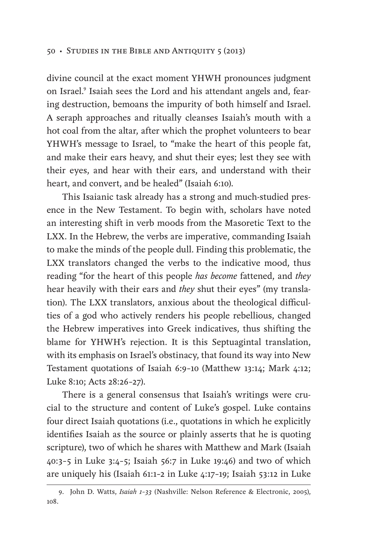divine council at the exact moment YHWH pronounces judgment on Israel.<sup>9</sup> Isaiah sees the Lord and his attendant angels and, fearing destruction, bemoans the impurity of both himself and Israel. A seraph approaches and ritually cleanses Isaiah's mouth with a hot coal from the altar, after which the prophet volunteers to bear YHWH's message to Israel, to "make the heart of this people fat, and make their ears heavy, and shut their eyes; lest they see with their eyes, and hear with their ears, and understand with their heart, and convert, and be healed" (Isaiah 6:10).

This Isaianic task already has a strong and much-studied presence in the New Testament. To begin with, scholars have noted an interesting shift in verb moods from the Masoretic Text to the LXX. In the Hebrew, the verbs are imperative, commanding Isaiah to make the minds of the people dull. Finding this problematic, the LXX translators changed the verbs to the indicative mood, thus reading "for the heart of this people *has become* fattened, and *they* hear heavily with their ears and *they* shut their eyes" (my translation). The LXX translators, anxious about the theological difficulties of a god who actively renders his people rebellious, changed the Hebrew imperatives into Greek indicatives, thus shifting the blame for YHWH's rejection. It is this Septuagintal translation, with its emphasis on Israel's obstinacy, that found its way into New Testament quotations of Isaiah 6:9–10 (Matthew 13:14; Mark 4:12; Luke 8:10; Acts 28:26–27).

There is a general consensus that Isaiah's writings were crucial to the structure and content of Luke's gospel. Luke contains four direct Isaiah quotations (i.e., quotations in which he explicitly identifies Isaiah as the source or plainly asserts that he is quoting scripture), two of which he shares with Matthew and Mark (Isaiah 40:3–5 in Luke 3:4–5; Isaiah 56:7 in Luke 19:46) and two of which are uniquely his (Isaiah 61:1–2 in Luke 4:17–19; Isaiah 53:12 in Luke

<sup>9.</sup> John D. Watts, *Isaiah 1–33* (Nashville: Nelson Reference & Electronic, 2005), 108.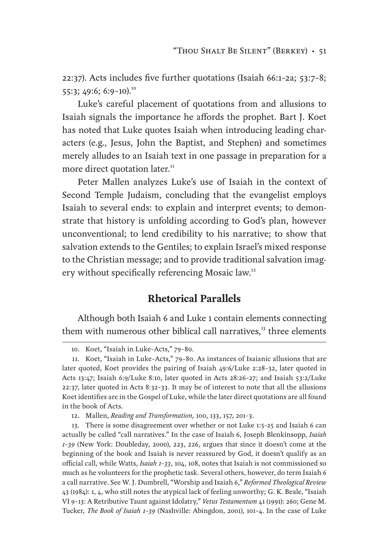22:37). Acts includes five further quotations (Isaiah 66:1–2a; 53:7–8; 55:3; 49:6; 6:9-10).<sup>10</sup>

Luke's careful placement of quotations from and allusions to Isaiah signals the importance he affords the prophet. Bart J. Koet has noted that Luke quotes Isaiah when introducing leading characters (e.g., Jesus, John the Baptist, and Stephen) and sometimes merely alludes to an Isaiah text in one passage in preparation for a more direct quotation later.<sup>11</sup>

Peter Mallen analyzes Luke's use of Isaiah in the context of Second Temple Judaism, concluding that the evangelist employs Isaiah to several ends: to explain and interpret events; to demonstrate that history is unfolding according to God's plan, however unconventional; to lend credibility to his narrative; to show that salvation extends to the Gentiles; to explain Israel's mixed response to the Christian message; and to provide traditional salvation imagery without specifically referencing Mosaic law.<sup>12</sup>

# **Rhetorical Parallels**

Although both Isaiah 6 and Luke 1 contain elements connecting them with numerous other biblical call narratives, $13$  three elements

12. Mallen, *Reading and Transformation,* 100, 133, 157, 201–3.

13. There is some disagreement over whether or not Luke 1:5–25 and Isaiah 6 can actually be called "call narratives." In the case of Isaiah 6, Joseph Blenkinsopp, *Isaiah 1–39* (New York: Doubleday, 2000), 223, 226, argues that since it doesn't come at the beginning of the book and Isaiah is never reassured by God, it doesn't qualify as an official call, while Watts, *Isaiah 1–33*, 104, 108, notes that Isaiah is not commissioned so much as he volunteers for the prophetic task. Several others, however, do term Isaiah 6 a call narrative. See W. J. Dumbrell, "Worship and Isaiah 6," *Reformed Theological Review* 43 (1984): 1, 4, who still notes the atypical lack of feeling unworthy; G. K. Beale, "Isaiah VI 9–13: A Retributive Taunt against Idolatry," *Vetus Testamentum* 41 (1991): 260; Gene M. Tucker, *The Book of Isaiah 1–39* (Nashville: Abingdon, 2001), 101–4. In the case of Luke

<sup>10.</sup> Koet, "Isaiah in Luke–Acts," 79–80.

<sup>11.</sup> Koet, "Isaiah in Luke–Acts," 79–80. As instances of Isaianic allusions that are later quoted, Koet provides the pairing of Isaiah 49:6/Luke 2:28–32, later quoted in Acts 13:47; Isaiah 6:9/Luke 8:10, later quoted in Acts 28:26–27; and Isaiah 53:2/Luke 22:37, later quoted in Acts 8:32–33. It may be of interest to note that all the allusions Koet identifies are in the Gospel of Luke, while the later direct quotations are all found in the book of Acts.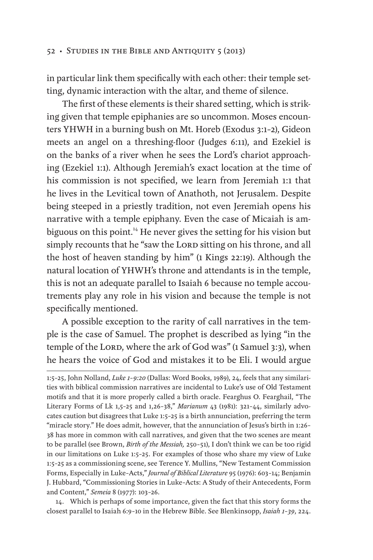in particular link them specifically with each other: their temple setting, dynamic interaction with the altar, and theme of silence.

The first of these elements is their shared setting, which is striking given that temple epiphanies are so uncommon. Moses encounters YHWH in a burning bush on Mt. Horeb (Exodus 3:1–2), Gideon meets an angel on a threshing-floor (Judges 6:11), and Ezekiel is on the banks of a river when he sees the Lord's chariot approaching (Ezekiel 1:1). Although Jeremiah's exact location at the time of his commission is not specified, we learn from Jeremiah 1:1 that he lives in the Levitical town of Anathoth, not Jerusalem. Despite being steeped in a priestly tradition, not even Jeremiah opens his narrative with a temple epiphany. Even the case of Micaiah is ambiguous on this point.<sup>14</sup> He never gives the setting for his vision but simply recounts that he "saw the LORD sitting on his throne, and all the host of heaven standing by him" (1 Kings 22:19). Although the natural location of YHWH's throne and attendants is in the temple, this is not an adequate parallel to Isaiah 6 because no temple accoutrements play any role in his vision and because the temple is not specifically mentioned.

A possible exception to the rarity of call narratives in the temple is the case of Samuel. The prophet is described as lying "in the temple of the LORD, where the ark of God was" (1 Samuel 3:3), when he hears the voice of God and mistakes it to be Eli. I would argue

14. Which is perhaps of some importance, given the fact that this story forms the closest parallel to Isaiah 6:9–10 in the Hebrew Bible. See Blenkinsopp, *Isaiah 1–39*, 224.

<sup>1:5–25,</sup> John Nolland, *Luke 1–9:20* (Dallas: Word Books, 1989), 24, feels that any similarities with biblical commission narratives are incidental to Luke's use of Old Testament motifs and that it is more properly called a birth oracle. Fearghus O. Fearghail, "The Literary Forms of Lk 1,5–25 and 1,26–38," *Marianum* 43 (1981): 321–44, similarly advocates caution but disagrees that Luke 1:5–25 is a birth annunciation, preferring the term "miracle story." He does admit, however, that the annunciation of Jesus's birth in 1:26– 38 has more in common with call narratives, and given that the two scenes are meant to be parallel (see Brown, *Birth of the Messiah,* 250–51), I don't think we can be too rigid in our limitations on Luke 1:5–25. For examples of those who share my view of Luke 1:5–25 as a commissioning scene, see Terence Y. Mullins, "New Testament Commission Forms, Especially in Luke–Acts," *Journal of Biblical Literature* 95 (1976): 603–14; Benjamin J. Hubbard, "Commissioning Stories in Luke–Acts: A Study of their Antecedents, Form and Content," *Semeia* 8 (1977): 103–26.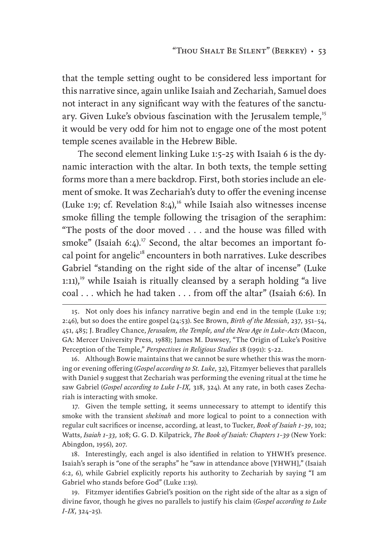that the temple setting ought to be considered less important for this narrative since, again unlike Isaiah and Zechariah, Samuel does not interact in any significant way with the features of the sanctuary. Given Luke's obvious fascination with the Jerusalem temple,<sup>15</sup> it would be very odd for him not to engage one of the most potent temple scenes available in the Hebrew Bible.

The second element linking Luke 1:5–25 with Isaiah 6 is the dynamic interaction with the altar. In both texts, the temple setting forms more than a mere backdrop. First, both stories include an element of smoke. It was Zechariah's duty to offer the evening incense (Luke 1:9; cf. Revelation 8:4),<sup>16</sup> while Isaiah also witnesses incense smoke filling the temple following the trisagion of the seraphim: "The posts of the door moved . . . and the house was filled with smoke" (Isaiah 6:4).<sup>17</sup> Second, the altar becomes an important focal point for angelic<sup>18</sup> encounters in both narratives. Luke describes Gabriel "standing on the right side of the altar of incense" (Luke 1:11),<sup>19</sup> while Isaiah is ritually cleansed by a seraph holding "a live" coal . . . which he had taken . . . from off the altar" (Isaiah 6:6). In

16. Although Bowie maintains that we cannot be sure whether this was the morning or evening offering (*Gospel according to St. Luke*, 32), Fitzmyer believes that parallels with Daniel 9 suggest that Zechariah was performing the evening ritual at the time he saw Gabriel (*Gospel according to Luke I–IX,* 318, 324). At any rate, in both cases Zechariah is interacting with smoke.

17. Given the temple setting, it seems unnecessary to attempt to identify this smoke with the transient *shekinah* and more logical to point to a connection with regular cult sacrifices or incense, according, at least, to Tucker, *Book of Isaiah 1–39*, 102; Watts, *Isaiah 1–33,* 108; G. G. D. Kilpatrick, *The Book of Isaiah: Chapters 1–39* (New York: Abingdon, 1956), 207.

18. Interestingly, each angel is also identified in relation to YHWH's presence. Isaiah's seraph is "one of the seraphs" he "saw in attendance above [YHWH]," (Isaiah 6:2, 6), while Gabriel explicitly reports his authority to Zechariah by saying "I am Gabriel who stands before God" (Luke 1:19).

19. Fitzmyer identifies Gabriel's position on the right side of the altar as a sign of divine favor, though he gives no parallels to justify his claim (*Gospel according to Luke I–IX*, 324–25).

<sup>15.</sup> Not only does his infancy narrative begin and end in the temple (Luke 1:9; 2:46), but so does the entire gospel (24:53). See Brown, *Birth of the Messiah*, 237, 351–54, 451, 485; J. Bradley Chance, *Jerusalem, the Temple, and the New Age in Luke–Acts* (Macon, GA: Mercer University Press, 1988); James M. Dawsey, "The Origin of Luke's Positive Perception of the Temple," *Perspectives in Religious Studies* 18 (1991): 5–22.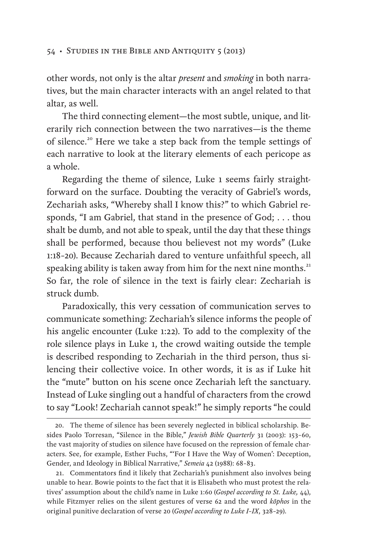other words, not only is the altar *present* and *smoking* in both narratives, but the main character interacts with an angel related to that altar, as well.

The third connecting element—the most subtle, unique, and literarily rich connection between the two narratives—is the theme of silence.20 Here we take a step back from the temple settings of each narrative to look at the literary elements of each pericope as a whole.

Regarding the theme of silence, Luke 1 seems fairly straightforward on the surface. Doubting the veracity of Gabriel's words, Zechariah asks, "Whereby shall I know this?" to which Gabriel responds, "I am Gabriel, that stand in the presence of God; . . . thou shalt be dumb, and not able to speak, until the day that these things shall be performed, because thou believest not my words" (Luke 1:18–20). Because Zechariah dared to venture unfaithful speech, all speaking ability is taken away from him for the next nine months.<sup>21</sup> So far, the role of silence in the text is fairly clear: Zechariah is struck dumb.

Paradoxically, this very cessation of communication serves to communicate something: Zechariah's silence informs the people of his angelic encounter (Luke 1:22). To add to the complexity of the role silence plays in Luke 1, the crowd waiting outside the temple is described responding to Zechariah in the third person, thus silencing their collective voice. In other words, it is as if Luke hit the "mute" button on his scene once Zechariah left the sanctuary. Instead of Luke singling out a handful of characters from the crowd to say "Look! Zechariah cannot speak!" he simply reports "he could

<sup>20.</sup> The theme of silence has been severely neglected in biblical scholarship. Besides Paolo Torresan, "Silence in the Bible," *Jewish Bible Quarterly* 31 (2003): 153–60, the vast majority of studies on silence have focused on the repression of female characters. See, for example, Esther Fuchs, "'For I Have the Way of Women': Deception, Gender, and Ideology in Biblical Narrative," *Semeia* 42 (1988): 68–83.

<sup>21.</sup> Commentators find it likely that Zechariah's punishment also involves being unable to hear. Bowie points to the fact that it is Elisabeth who must protest the relatives' assumption about the child's name in Luke 1:60 (*Gospel according to St. Luke,* 44), while Fitzmyer relies on the silent gestures of verse 62 and the word *kōphos* in the original punitive declaration of verse 20 (*Gospel according to Luke I–IX*, 328–29).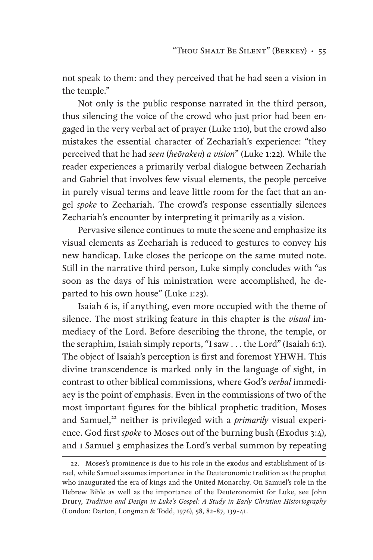not speak to them: and they perceived that he had seen a vision in the temple."

Not only is the public response narrated in the third person, thus silencing the voice of the crowd who just prior had been engaged in the very verbal act of prayer (Luke 1:10), but the crowd also mistakes the essential character of Zechariah's experience: "they perceived that he had *seen* (*heōraken*) *a vision*" (Luke 1:22). While the reader experiences a primarily verbal dialogue between Zechariah and Gabriel that involves few visual elements, the people perceive in purely visual terms and leave little room for the fact that an angel *spoke* to Zechariah. The crowd's response essentially silences Zechariah's encounter by interpreting it primarily as a vision.

Pervasive silence continues to mute the scene and emphasize its visual elements as Zechariah is reduced to gestures to convey his new handicap. Luke closes the pericope on the same muted note. Still in the narrative third person, Luke simply concludes with "as soon as the days of his ministration were accomplished, he departed to his own house" (Luke 1:23).

Isaiah 6 is, if anything, even more occupied with the theme of silence. The most striking feature in this chapter is the *visual* immediacy of the Lord. Before describing the throne, the temple, or the seraphim, Isaiah simply reports, "I saw . . . the Lord" (Isaiah 6:1). The object of Isaiah's perception is first and foremost YHWH. This divine transcendence is marked only in the language of sight, in contrast to other biblical commissions, where God's *verbal* immediacy is the point of emphasis. Even in the commissions of two of the most important figures for the biblical prophetic tradition, Moses and Samuel,<sup>22</sup> neither is privileged with a *primarily* visual experience. God first *spoke* to Moses out of the burning bush (Exodus 3:4), and 1 Samuel 3 emphasizes the Lord's verbal summon by repeating

<sup>22.</sup> Moses's prominence is due to his role in the exodus and establishment of Israel, while Samuel assumes importance in the Deuteronomic tradition as the prophet who inaugurated the era of kings and the United Monarchy. On Samuel's role in the Hebrew Bible as well as the importance of the Deuteronomist for Luke, see John Drury, *Tradition and Design in Luke's Gospel: A Study in Early Christian Historiography* (London: Darton, Longman & Todd, 1976), 58, 82–87, 139–41.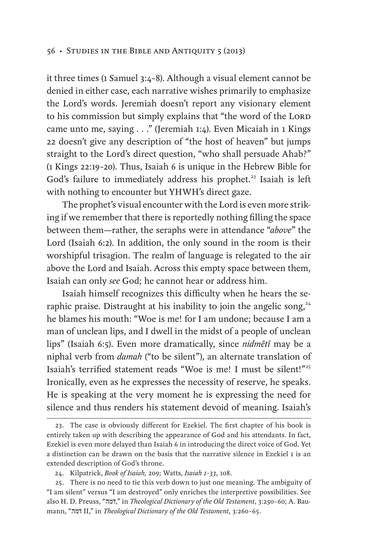it three times (1 Samuel 3:4–8). Although a visual element cannot be denied in either case, each narrative wishes primarily to emphasize the Lord's words. Jeremiah doesn't report any visionary element to his commission but simply explains that "the word of the LORD came unto me, saying . . ." (Jeremiah 1:4). Even Micaiah in 1 Kings 22 doesn't give any description of "the host of heaven" but jumps straight to the Lord's direct question, "who shall persuade Ahab?" (1 Kings 22:19–20). Thus, Isaiah 6 is unique in the Hebrew Bible for God's failure to immediately address his prophet.<sup>23</sup> Isaiah is left with nothing to encounter but YHWH's direct gaze.

The prophet's visual encounter with the Lord is even more striking if we remember that there is reportedly nothing filling the space between them—rather, the seraphs were in attendance "*above*" the Lord (Isaiah 6:2). In addition, the only sound in the room is their worshipful trisagion. The realm of language is relegated to the air above the Lord and Isaiah. Across this empty space between them, Isaiah can only *see* God; he cannot hear or address him.

Isaiah himself recognizes this difficulty when he hears the seraphic praise. Distraught at his inability to join the angelic song, $24$ he blames his mouth: "Woe is me! for I am undone; because I am a man of unclean lips, and I dwell in the midst of a people of unclean lips" (Isaiah 6:5). Even more dramatically, since *nidmêtî* may be a niphal verb from *damah* ("to be silent"), an alternate translation of Isaiah's terrified statement reads "Woe is me! I must be silent!"<sup>25</sup> Ironically, even as he expresses the necessity of reserve, he speaks. He is speaking at the very moment he is expressing the need for silence and thus renders his statement devoid of meaning. Isaiah's

<sup>23.</sup> The case is obviously different for Ezekiel. The first chapter of his book is entirely taken up with describing the appearance of God and his attendants. In fact, Ezekiel is even more delayed than Isaiah 6 in introducing the direct voice of God. Yet a distinction can be drawn on the basis that the narrative silence in Ezekiel 1 is an extended description of God's throne.

<sup>24.</sup> Kilpatrick, *Book of Isaiah,* 209; Watts, *Isaiah 1–33,* 108.

<sup>25.</sup> There is no need to tie this verb down to just one meaning. The ambiguity of "I am silent" versus "I am destroyed" only enriches the interpretive possibilities. See also H. D. Preuss, "דמה, "in *Theological Dictionary of the Old Testament*, 3:250–60; A. Baumann, "דמה II," in *Theological Dictionary of the Old Testament*, 3:260–65.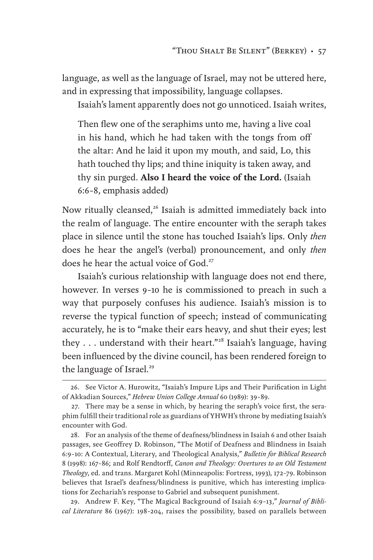language, as well as the language of Israel, may not be uttered here, and in expressing that impossibility, language collapses.

Isaiah's lament apparently does not go unnoticed. Isaiah writes,

Then flew one of the seraphims unto me, having a live coal in his hand, which he had taken with the tongs from off the altar: And he laid it upon my mouth, and said, Lo, this hath touched thy lips; and thine iniquity is taken away, and thy sin purged. **Also I heard the voice of the Lord.** (Isaiah 6:6–8, emphasis added)

Now ritually cleansed,<sup>26</sup> Isaiah is admitted immediately back into the realm of language. The entire encounter with the seraph takes place in silence until the stone has touched Isaiah's lips. Only *then* does he hear the angel's (verbal) pronouncement, and only *then* does he hear the actual voice of God.<sup>27</sup>

Isaiah's curious relationship with language does not end there, however. In verses 9–10 he is commissioned to preach in such a way that purposely confuses his audience. Isaiah's mission is to reverse the typical function of speech; instead of communicating accurately, he is to "make their ears heavy, and shut their eyes; lest they . . . understand with their heart."<sup>28</sup> Isaiah's language, having been influenced by the divine council, has been rendered foreign to the language of Israel.<sup>29</sup>

<sup>26.</sup> See Victor A. Hurowitz, "Isaiah's Impure Lips and Their Purification in Light of Akkadian Sources," *Hebrew Union College Annual* 60 (1989): 39–89.

<sup>27.</sup> There may be a sense in which, by hearing the seraph's voice first, the seraphim fulfill their traditional role as guardians of YHWH's throne by mediating Isaiah's encounter with God.

<sup>28.</sup> For an analysis of the theme of deafness/blindness in Isaiah 6 and other Isaiah passages, see Geoffrey D. Robinson, "The Motif of Deafness and Blindness in Isaiah 6:9–10: A Contextual, Literary, and Theological Analysis," *Bulletin for Biblical Research* 8 (1998): 167–86; and Rolf Rendtorff, *Canon and Theology: Overtures to an Old Testament Theology*, ed. and trans. Margaret Kohl (Minneapolis: Fortress, 1993), 172–79. Robinson believes that Israel's deafness/blindness is punitive, which has interesting implications for Zechariah's response to Gabriel and subsequent punishment.

<sup>29.</sup> Andrew F. Key, "The Magical Background of Isaiah 6:9–13," *Journal of Biblical Literature* 86 (1967): 198–204, raises the possibility, based on parallels between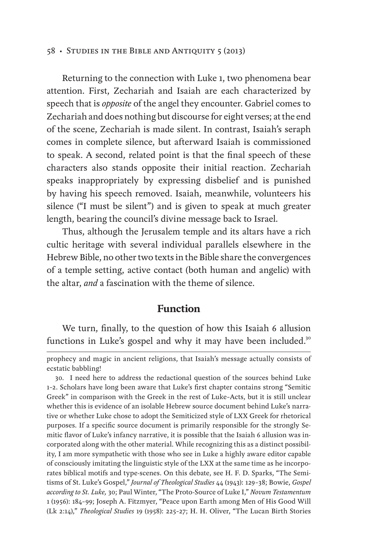Returning to the connection with Luke 1, two phenomena bear attention. First, Zechariah and Isaiah are each characterized by speech that is *opposite* of the angel they encounter. Gabriel comes to Zechariah and does nothing but discourse for eight verses; at the end of the scene, Zechariah is made silent. In contrast, Isaiah's seraph comes in complete silence, but afterward Isaiah is commissioned to speak. A second, related point is that the final speech of these characters also stands opposite their initial reaction. Zechariah speaks inappropriately by expressing disbelief and is punished by having his speech removed. Isaiah, meanwhile, volunteers his silence ("I must be silent") and is given to speak at much greater length, bearing the council's divine message back to Israel.

Thus, although the Jerusalem temple and its altars have a rich cultic heritage with several individual parallels elsewhere in the Hebrew Bible, no other two texts in the Bible share the convergences of a temple setting, active contact (both human and angelic) with the altar, *and* a fascination with the theme of silence.

#### **Function**

We turn, finally, to the question of how this Isaiah 6 allusion functions in Luke's gospel and why it may have been included.<sup>30</sup>

prophecy and magic in ancient religions, that Isaiah's message actually consists of ecstatic babbling!

<sup>30.</sup> I need here to address the redactional question of the sources behind Luke 1–2. Scholars have long been aware that Luke's first chapter contains strong "Semitic Greek" in comparison with the Greek in the rest of Luke–Acts, but it is still unclear whether this is evidence of an isolable Hebrew source document behind Luke's narrative or whether Luke chose to adopt the Semiticized style of LXX Greek for rhetorical purposes. If a specific source document is primarily responsible for the strongly Semitic flavor of Luke's infancy narrative, it is possible that the Isaiah 6 allusion was incorporated along with the other material. While recognizing this as a distinct possibility, I am more sympathetic with those who see in Luke a highly aware editor capable of consciously imitating the linguistic style of the LXX at the same time as he incorporates biblical motifs and type-scenes. On this debate, see H. F. D. Sparks, "The Semitisms of St. Luke's Gospel," *Journal of Theological Studies* 44 (1943): 129–38; Bowie, *Gospel according to St. Luke,* 30; Paul Winter, "The Proto-Source of Luke I," *Novum Testamentum* 1 (1956): 184–99; Joseph A. Fitzmyer, "Peace upon Earth among Men of His Good Will (Lk 2:14)," *Theological Studies* 19 (1958): 225–27; H. H. Oliver, "The Lucan Birth Stories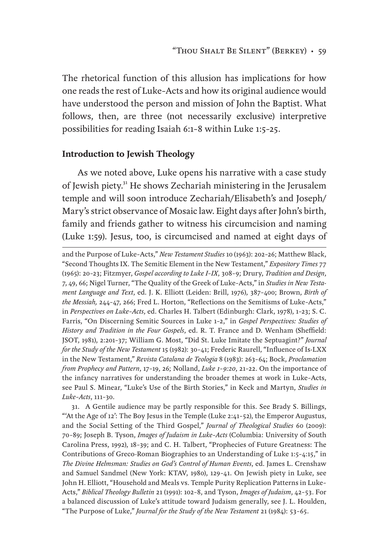The rhetorical function of this allusion has implications for how one reads the rest of Luke–Acts and how its original audience would have understood the person and mission of John the Baptist. What follows, then, are three (not necessarily exclusive) interpretive possibilities for reading Isaiah 6:1–8 within Luke 1:5–25.

#### **Introduction to Jewish Theology**

As we noted above, Luke opens his narrative with a case study of Jewish piety.<sup>31</sup> He shows Zechariah ministering in the Jerusalem temple and will soon introduce Zechariah/Elisabeth's and Joseph/ Mary's strict observance of Mosaic law. Eight days after John's birth, family and friends gather to witness his circumcision and naming (Luke 1:59). Jesus, too, is circumcised and named at eight days of

and the Purpose of Luke–Acts," *New Testament Studies* 10 (1963): 202–26; Matthew Black, "Second Thoughts IX. The Semitic Element in the New Testament," *Expository Times* 77 (1965): 20–23; Fitzmyer, *Gospel according to Luke I–IX*, 308–9; Drury, *Tradition and Design*, 7, 49, 66; Nigel Turner, "The Quality of the Greek of Luke–Acts," in *Studies in New Testament Language and Text*, ed. J. K. Elliott (Leiden: Brill, 1976), 387–400; Brown, *Birth of the Messiah,* 244–47, 266; Fred L. Horton, "Reflections on the Semitisms of Luke–Acts," in *Perspectives on Luke–Acts*, ed. Charles H. Talbert (Edinburgh: Clark, 1978), 1–23; S. C. Farris, "On Discerning Semitic Sources in Luke 1–2," in *Gospel Perspectives: Studies of History and Tradition in the Four Gospels*, ed. R. T. France and D. Wenham (Sheffield: JSOT, 1981), 2:201–37; William G. Most, "Did St. Luke Imitate the Septuagint?" *Journal for the Study of the New Testament* 15 (1982): 30–41; Frederic Raurell, "Influence of Is-LXX in the New Testament," *Revista Catalana de Teologia* 8 (1983): 263–64; Bock, *Proclamation from Prophecy and Pattern*, 17–19, 26; Nolland, *Luke 1–9:20*, 21–22. On the importance of the infancy narratives for understanding the broader themes at work in Luke–Acts, see Paul S. Minear, "Luke's Use of the Birth Stories," in Keck and Martyn, *Studies in Luke–Acts*, 111–30.

31. A Gentile audience may be partly responsible for this. See Brady S. Billings, "'At the Age of 12': The Boy Jesus in the Temple (Luke 2:41–52), the Emperor Augustus, and the Social Setting of the Third Gospel," *Journal of Theological Studies* 60 (2009): 70–89; Joseph B. Tyson, *Images of Judaism in Luke–Acts* (Columbia: University of South Carolina Press, 1992), 18–39; and C. H. Talbert, "Prophecies of Future Greatness: The Contributions of Greco-Roman Biographies to an Understanding of Luke 1:5–4:15," in *The Divine Helmsman: Studies on God's Control of Human Events*, ed. James L. Crenshaw and Samuel Sandmel (New York: KTAV, 1980), 129–41. On Jewish piety in Luke, see John H. Elliott, "Household and Meals vs. Temple Purity Replication Patterns in Luke– Acts," *Biblical Theology Bulletin* 21 (1991): 102–8, and Tyson, *Images of Judaism*, 42–53. For a balanced discussion of Luke's attitude toward Judaism generally, see J. L. Houlden, "The Purpose of Luke," *Journal for the Study of the New Testament* 21 (1984): 53–65.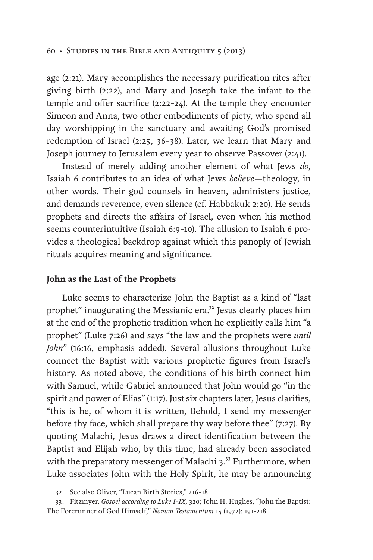age (2:21). Mary accomplishes the necessary purification rites after giving birth (2:22), and Mary and Joseph take the infant to the temple and offer sacrifice (2:22–24). At the temple they encounter Simeon and Anna, two other embodiments of piety, who spend all day worshipping in the sanctuary and awaiting God's promised redemption of Israel (2:25, 36–38). Later, we learn that Mary and Joseph journey to Jerusalem every year to observe Passover (2:41).

Instead of merely adding another element of what Jews *do*, Isaiah 6 contributes to an idea of what Jews *believe*—theology, in other words. Their god counsels in heaven, administers justice, and demands reverence, even silence (cf. Habbakuk 2:20). He sends prophets and directs the affairs of Israel, even when his method seems counterintuitive (Isaiah 6:9–10). The allusion to Isaiah 6 provides a theological backdrop against which this panoply of Jewish rituals acquires meaning and significance.

#### **John as the Last of the Prophets**

Luke seems to characterize John the Baptist as a kind of "last prophet" inaugurating the Messianic era.<sup>32</sup> Jesus clearly places him at the end of the prophetic tradition when he explicitly calls him "a prophet" (Luke 7:26) and says "the law and the prophets were *until John*" (16:16, emphasis added). Several allusions throughout Luke connect the Baptist with various prophetic figures from Israel's history. As noted above, the conditions of his birth connect him with Samuel, while Gabriel announced that John would go "in the spirit and power of Elias" (1:17). Just six chapters later, Jesus clarifies, "this is he, of whom it is written, Behold, I send my messenger before thy face, which shall prepare thy way before thee" (7:27). By quoting Malachi, Jesus draws a direct identification between the Baptist and Elijah who, by this time, had already been associated with the preparatory messenger of Malachi 3.<sup>33</sup> Furthermore, when Luke associates John with the Holy Spirit, he may be announcing

<sup>32.</sup> See also Oliver, "Lucan Birth Stories," 216–18.

<sup>33.</sup> Fitzmyer, *Gospel according to Luke I–IX*, 320; John H. Hughes, "John the Baptist: The Forerunner of God Himself," *Novum Testamentum* 14 (1972): 191–218.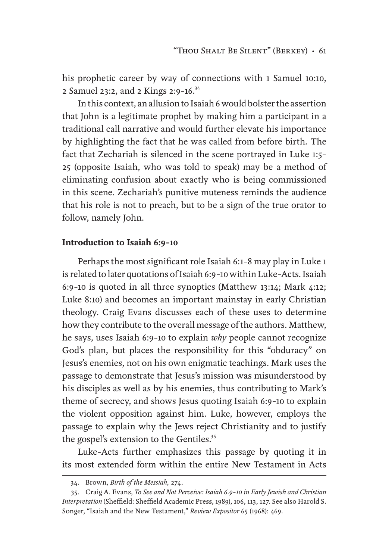his prophetic career by way of connections with 1 Samuel 10:10, 2 Samuel 23:2, and 2 Kings 2:9–16.34

In this context, an allusion to Isaiah 6 would bolster the assertion that John is a legitimate prophet by making him a participant in a traditional call narrative and would further elevate his importance by highlighting the fact that he was called from before birth*.* The fact that Zechariah is silenced in the scene portrayed in Luke 1:5– 25 (opposite Isaiah, who was told to speak) may be a method of eliminating confusion about exactly who is being commissioned in this scene. Zechariah's punitive muteness reminds the audience that his role is not to preach, but to be a sign of the true orator to follow, namely John.

#### **Introduction to Isaiah 6:9–10**

Perhaps the most significant role Isaiah 6:1–8 may play in Luke 1 is related to later quotations of Isaiah 6:9–10 within Luke–Acts. Isaiah 6:9–10 is quoted in all three synoptics (Matthew 13:14; Mark 4:12; Luke 8:10) and becomes an important mainstay in early Christian theology. Craig Evans discusses each of these uses to determine how they contribute to the overall message of the authors. Matthew, he says, uses Isaiah 6:9–10 to explain *why* people cannot recognize God's plan, but places the responsibility for this "obduracy" on Jesus's enemies, not on his own enigmatic teachings. Mark uses the passage to demonstrate that Jesus's mission was misunderstood by his disciples as well as by his enemies, thus contributing to Mark's theme of secrecy, and shows Jesus quoting Isaiah 6:9–10 to explain the violent opposition against him. Luke, however, employs the passage to explain why the Jews reject Christianity and to justify the gospel's extension to the Gentiles.<sup>35</sup>

Luke–Acts further emphasizes this passage by quoting it in its most extended form within the entire New Testament in Acts

<sup>34.</sup> Brown, *Birth of the Messiah,* 274.

<sup>35.</sup> Craig A. Evans, *To See and Not Perceive: Isaiah 6.9–10 in Early Jewish and Christian Interpretation* (Sheffield: Sheffield Academic Press, 1989), 106, 113, 127. See also Harold S. Songer, "Isaiah and the New Testament," *Review Expositor* 65 (1968): 469.